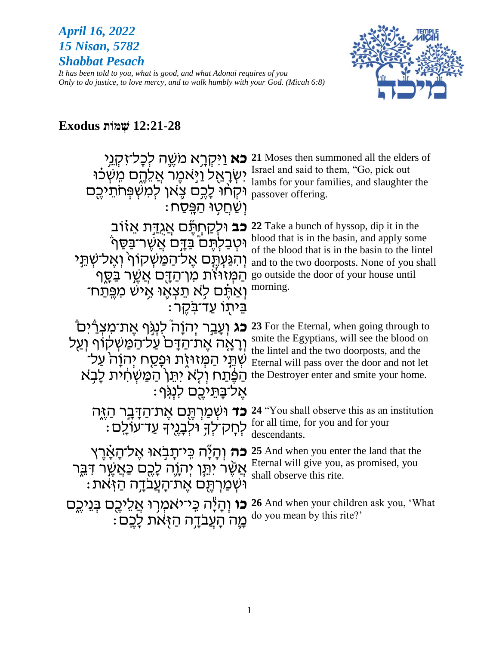# *April 16, 2022 15 Nisan, 5782 Shabbat Pesach*

*It has been told to you, what is good, and what Adonai requires of you Only to do justice, to love mercy, and to walk humbly with your God. (Micah 6:8)*



# **12:21-28 שְׁ מֹות Exodus**

| <b>כא</b> וַיּקְרֶא מֹשֵׁה לִכָּל־זִקְנֵי                                          | 21 Moses then summoned all the elders of                                                           |
|------------------------------------------------------------------------------------|----------------------------------------------------------------------------------------------------|
| יִשְׂרָאֶל וַיְּאמֶר אֲלֶהֶם מֵשְׁכוּ                                              | Israel and said to them, "Go, pick out                                                             |
| וּקְחוּ לָבֵם צֵאן לְמִשְׁפְּחתֵיכֵם                                               | lambs for your families, and slaughter the                                                         |
| <u>ְיִשְׁחֲטָוּ הַפֵּסַח:</u>                                                      | passover offering.                                                                                 |
| <b>כב</b> וּלִקַחְתֵּׁם אֲגְדַּת אֵזֹוב                                            | 22 Take a bunch of hyssop, dip it in the                                                           |
| וּטְבַלְתֵם בַדֵּם אֲשֶׁר־בַּסַן ֿ                                                 | blood that is in the basin, and apply some                                                         |
| וְהִגַּעְתֵּם אֵל־הַמַּשְׁקוֹף וְאֵל־שְׁתֵי                                        | of the blood that is in the basin to the lintel                                                    |
| הַמְּזוּזֹת מִן־הַדֶּם אֲשֱר בַּסֵּף                                               | and to the two doorposts. None of you shall                                                        |
| וְאַתֵּׁם לְא תֵצְאֵוּ אֵישׁ מִפֵּתַּח־                                            | go outside the door of your house until                                                            |
| ּבֵיתִוֹ עַד־בַּקֶר:                                                               | morning.                                                                                           |
| <b>ֹכֹג</b> וְעֲבַר יִהוָה לִנְגְף אֱת־מִצְרַ֫יִּם                                 | 23 For the Eternal, when going through to                                                          |
| וְרָאָה אֵת־הַדָּם עַל־הַמַּשְׁקוֹף וְעַל                                          | smite the Egyptians, will see the blood on                                                         |
| שְׁתֵּי הַמְּזוּזֶת וּפַּסֵח יִהוַה עַל־                                           | the lintel and the two doorposts, and the                                                          |
| הַפֶּׁתַח וְלָא יִתֵּן הַמַּשְׁחִית לַבִא                                          | Eternal will pass over the door and not let                                                        |
| ּאֲל־בָּתֵיכֶם לֹנְגִף                                                             | the Destroyer enter and smite your home.                                                           |
| <b>כד</b> וּשְׁמַרְתֵּם אֱת־הַדָּבֵר הַיָּה<br>לְחָק־לְךָ וּלְבָגֵיךְ עַד־עוֹלֵם : | 24 "You shall observe this as an institution<br>for all time, for you and for your<br>descendants. |
| <b>כה</b> וְהַיַּה כֵּי־תַבאוּ אֱל־הַאֲרֵץ                                         | 25 And when you enter the land that the                                                            |
| אֲשֶׁר יִתֵּן יְהְוֶה לָכֶם כַּאֲשֶׁר דִּבֵּר                                      | Eternal will give you, as promised, you                                                            |
| ּוּשְׁמַרְתֵּם אֱת־הַעֲבֹדֵה הַזִּאת :                                             | shall observe this rite.                                                                           |
| מֵה הַעֲבֹדֵה הַזְאת לָכֵם:                                                        | בֵיכֶם בְּנֵיכֶם 26 And when your children ask you, 'What<br>do you mean by this rite?'            |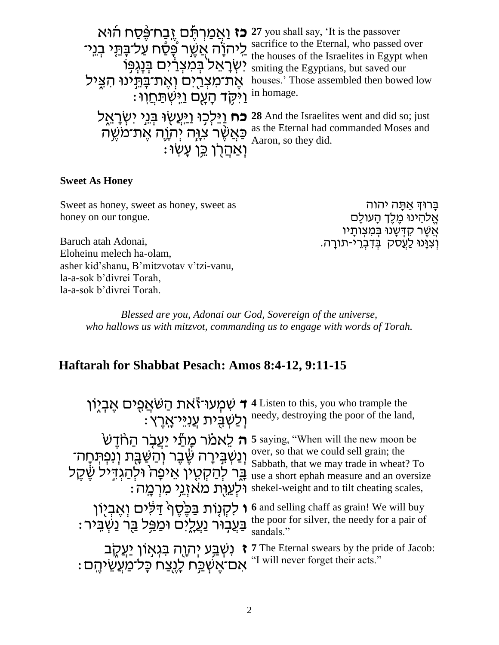**וֹאֲמַרְתֶּׁם זֶבְח־פֶּּסַח הוֹא 27 you shall say, 'It is the passover** לֵיהֹוָה אֲשֶׁר פָּׁסַ֫ח עַל־בָּתֵּי בְנֵי־  $_{\rm th}^{\rm sa}$ יִּשְׁרָאֵל<sup>י</sup>בְּמִצְרַ֫יִּם בְּנְגְפָוֹ <sub>:</sub> אֶת־מִצְרַיִם וְאֶת־בְּתֵינוּ הִצְיל houses.' Those assembled then bowed low ַו<sup>ּיִ</sup>קָד הָעֶם וַיִּשְׂתַּחֲווּ: sacrifice to the Eternal, who passed over the houses of the Israelites in Egypt when smiting the Egyptians, but saved our **כח** וַיֵּלְכָוּ וַיַּעֲשָׂוּ בְּנֵי יִשְׂרָאֱל <sup>28</sup> And the Israelites went and did so; just ַּכַּאֲשֶׂר צִוָּה יְהוָה אֶת־מֹשֶׁה ْ וְאַהֲרֶן כֵּן עָשִׂוּ $\,$ as the Eternal had commanded Moses and Aaron, so they did.

#### **Sweet As Honey**

Sweet as honey, sweet as honey, sweet as honey on our tongue.

בַרוּךְ אַתָּה יהוה אֱלהֵינוּ מֵלֵך הָעולַם אֲשֶׁר קִדְּשָׁנוּ בִּמְצְותָיו ּוְ צִוְּנוּ לַעֲסק בִּדְבְרֵי-תורַה.

Baruch atah Adonai, Eloheinu melech ha-olam, asher kid'shanu, B'mitzvotav v'tzi-vanu, la-a-sok b'divrei Torah, la-a-sok b'divrei Torah.

> *Blessed are you, Adonai our God, Sovereign of the universe, who hallows us with mitzvot, commanding us to engage with words of Torah.*

# **Haftarah for Shabbat Pesach: Amos 8:4-12, 9:11-15**

| שְׁמַעוּ־זֹאת הַשּׁאֲפִים אֵבְיֶוֹן ( 4 Listen to this, you who trample the                                                                                    | : לַטָבִית עֲנְיֵיאֲרֶץ needy, destroying the poor of the land,                                                                                                                                  |
|----------------------------------------------------------------------------------------------------------------------------------------------------------------|--------------------------------------------------------------------------------------------------------------------------------------------------------------------------------------------------|
| <del>ֹת</del> לֵאמֹר מָ <u>תֵלֵי יַעֲבָר הַ</u> חֹדֵשׁ<br>re sen gram, and we cound sen gram, we cound sen wheat? To prover, so that we may trade in wheat? To | 5 saying, "When will the new moon be<br>ashort ephah measure and an oversize הֵר לְהַקְטָין אֵיפָה וּלְהַגְדִיל שֵׁקֶל<br>: וּלְעַוּת מאזְגֵי מִרְמֶה shekel-weight and to tilt cheating scales, |
| ו לקנות בַּכֵּׂסֵף דַּלִּים וְאֵבְיָוֹן<br>ַבַּעֲבְוֹר <u>נַעֲלֶי</u> ם וּמַפְּל בַּר נַשְּׁבִּיר                                                              | 6 and selling chaff as grain! We will buy<br>the poor for silver, the needy for a pair of<br>sandals."                                                                                           |
| <u>ַנִּשְׁבְּ</u> ע יְהְוֶה בִּגְאָוֹן יַעֲקֶב<br>ּאם־אֶשְׁכַּח לָנ <u>ֶצ</u> ח כָּל־מַעֲשֵׁיהֶם                                                               | <b>7</b> The Eternal swears by the pride of Jacob:<br>"I will never forget their acts."                                                                                                          |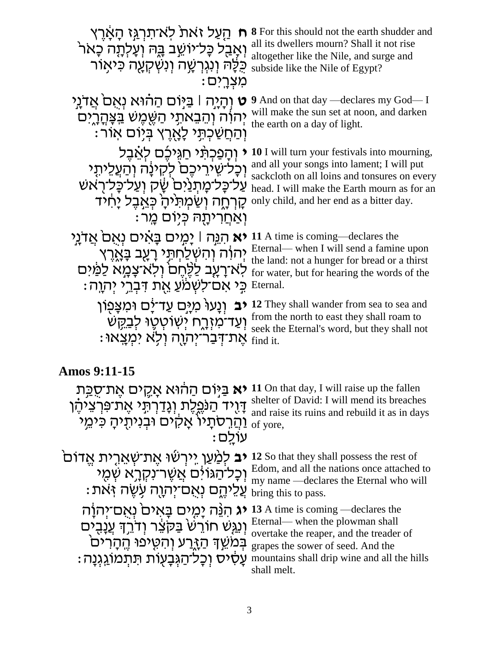| הַעַל זאת לא־תרִגְז הָאַרֵץ                                                                                                                                                   | <b>8</b> For this should not the earth shudder and                                                                                                                                     |
|-------------------------------------------------------------------------------------------------------------------------------------------------------------------------------|----------------------------------------------------------------------------------------------------------------------------------------------------------------------------------------|
| וְאָבַל כָּל־יוֹשֵׁב בֶּהְ וְעָלְתָה כָאוֹ                                                                                                                                    | all its dwellers mourn? Shall it not rise                                                                                                                                              |
| כַּלַּה וְנִגְרְשֶׁה וְנִשְקָעָה כִּיאָוֹר                                                                                                                                    | altogether like the Nile, and surge and                                                                                                                                                |
| מצרֵים:                                                                                                                                                                       | subside like the Nile of Egypt?                                                                                                                                                        |
| ט וְהַיָּה   בַּיּוֹם הַהוֹא נְאָם אֲדֹנֵי                                                                                                                                    | <b>9</b> And on that day —declares my God—I                                                                                                                                            |
| יִהוֹה וְהֵבָאתֶי הַשֶּׁמֶשׁ בַּצְהֲרֶיִם                                                                                                                                     | will make the sun set at noon, and darken                                                                                                                                              |
| ּוְהַחֲשַׁכְתָּי לָאֲרֶץ בִּיִּוֹם אוֹר                                                                                                                                       | the earth on a day of light.                                                                                                                                                           |
| והפכתי חגיכים לאֵבל                                                                                                                                                           | <b>10</b> I will turn your festivals into mourning,                                                                                                                                    |
| וְכַל־שֶׁירֵיכֶם לְקִינַה וְהַעֲלֶיתֵי                                                                                                                                        | and all your songs into lament; I will put                                                                                                                                             |
| עַל־כָּל־מֶתְנַיִּם שֶׁק וְעַל־כַּל־רָאשׁ                                                                                                                                     | sackcloth on all loins and tonsures on every                                                                                                                                           |
| קָרְחֶה וְשַׂמְתִּיהָ כְּאֲבֵל יַחִיד                                                                                                                                         | head. I will make the Earth mourn as for an                                                                                                                                            |
| וְאַחֲרִיתָה כְּיִוּם מֵר:                                                                                                                                                    | only child, and her end as a bitter day.                                                                                                                                               |
| <b>יא</b> הִגֵּה   יָמֵים בַּאֹים נִאַם אֲדנֵי<br>יַהוֹה וִהִשְׁלַחְתֵּי רַעֲב בָּאֱרֶץ<br>לא־רַעַב לַלֶחֵם וְלֹא־צַמֵא לַמַּיִם<br>ּכִּי אִם־לִשְׁמֹעַ אֶת דִּבְרֶי יִתְוָה: | 11 A time is coming—declares the<br>Eternal— when I will send a famine upon<br>the land: not a hunger for bread or a thirst<br>for water, but for hearing the words of the<br>Eternal. |
| וָנַעוֹ מ <u>ַי</u> ּם עַד־יַם וּמִצַּפִוּן                                                                                                                                   | 12 They shall wander from sea to sea and                                                                                                                                               |
| יב                                                                                                                                                                            | from the north to east they shall roam to                                                                                                                                              |
| וִעַד־מִזָּרֶח יִשְׁוֹטְטֶוּ ל <u>ְבַק</u> ְּשׁ                                                                                                                               | seek the Eternal's word, but they shall not                                                                                                                                            |
| ּאֵת־דִּבַר־יִהְוָה וִלְא יִמְצַאוּ                                                                                                                                           | find it.                                                                                                                                                                               |

## **Amos 9:11-15**

**יֹא** בַּיִּוֹם הַחֹוּא אָקֶים אֶת־סֻכַּת דֵּ דְוָיד הַנֹפֶלֶת וְגָדַרְתִּי אֶת־פִּרְצִיהֶן " וַהֲרָסתָיוֹ אֲקִים וּבְנִיתֻיהָ כִּימֵי *'*  $:$  עוֹלם **11** On that day, I will raise up the fallen shelter of David: I will mend its breaches and raise its ruins and rebuild it as in days of yore, **ֿיב** לְמַּעַן יִירְשׁוּ אֶת־שְׁאֵרֶית אֱדוֹם ַן כְּל־הַגּוֹיִּם אֲשֶר־נִקְרָא שְמָי " ּעֲלֵיהֶם נְאֲםֹ־יְהוֶה עָשֶׂה זְּאת: **12** So that they shall possess the rest of Edom, and all the nations once attached to my name —declares the Eternal who will bring this to pass. **יג** הִגָּה יָמֶים בָּאִים ׁנְאָם־יְהוָה **13** A time is coming —declares the

ֿוְ נִגַּשׁ חוֹרֵשׁ בַּקֹּצֵר וְדֹרֵךְ עֲנָבָים " ّבְמֹשֵׁדְּ הַגָּרַע וְהִטְיֹפוּ הֳהָרים grapes the sower of seed. And the : עָסִיס וְכָל־הַגְּבָעָוֹת תִּתְמוֹגַגְנָה mountains shall drip wine and all the hills Eternal— when the plowman shall overtake the reaper, and the treader of shall melt.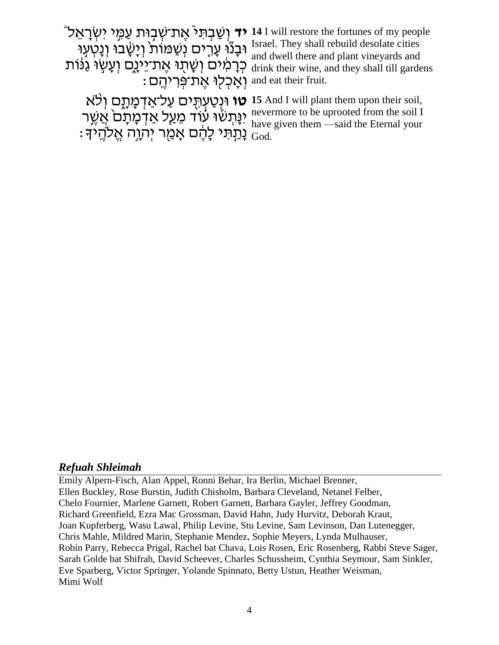י<del>ד וְשַׁבְתִּ</del>יْ אֶת־שְבְוּת עַמְי יִשְׂרָאֵל i4 I will restore the fortunes of my people וּבְנוֹ עֲרָים נְשַמוֹת וְיָשָׂבוּ וְנָטְעָוֹ Israel. They shall rebuild desolate cities<br>and dwell there and plant vineyards and הְמִי and dwen drie and plant vineyads and בְּרָמִים וְעָעֲוּ גַנֹּוֹת er and they shall till gardens : יְאָכְלָוּ אֶת־פְּרִיהֶם and eat their fruit.

and dwell there and plant vineyards and

**טו** וּנְטַעְתָּים עַל־אַדְמָתֶם וְלֹא יִּנְּתְשׁׁוּ עוֹד מֵעַל אַדְמָתָם אֲשֶר ֹּ, נְתַיִּתִּי לָהֶם אָמֵר יְהְוֶה אֱלֹהֶיּךָ :

**15** And I will plant them upon their soil, nevermore to be uprooted from the soil I have given them —said the Eternal your God.

#### *Refuah Shleimah*

Emily Alpern-Fisch, Alan Appel, Ronni Behar, Ira Berlin, Michael Brenner, Ellen Buckley, Rose Burstin, Judith Chisholm, Barbara Cleveland, Netanel Felber, Chelo Fournier, Marlene Garnett, Robert Garnett, Barbara Gayler, Jeffrey Goodman, Richard Greenfield, Ezra Mac Grossman, David Hahn, Judy Hurvitz, Deborah Kraut, Joan Kupferberg, Wasu Lawal, Philip Levine, Stu Levine, Sam Levinson, Dan Lutenegger, Chris Mahle, Mildred Marin, Stephanie Mendez, Sophie Meyers, Lynda Mulhauser, Robin Parry, Rebecca Prigal, Rachel bat Chava, Lois Rosen, Eric Rosenberg, Rabbi Steve Sager, Sarah Golde bat Shifrah, David Scheever, Charles Schussheim, Cynthia Seymour, Sam Sinkler, Eve Sparberg, Victor Springer, Yolande Spinnato, Betty Ustun, Heather Weisman, Mimi Wolf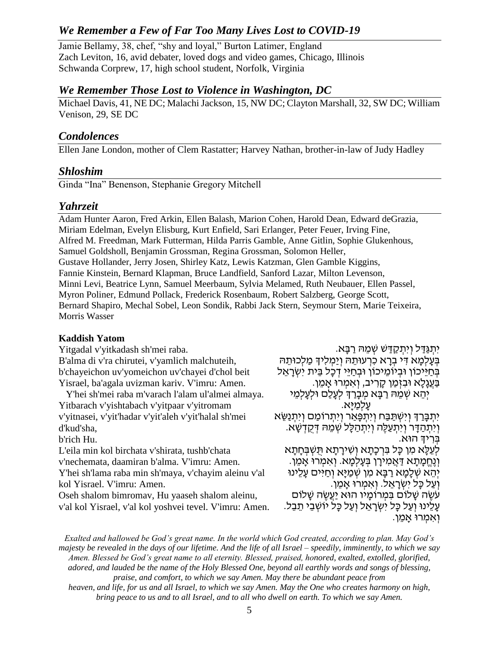### *We Remember a Few of Far Too Many Lives Lost to COVID-19*

Jamie Bellamy, 38, chef, "shy and loyal," Burton Latimer, England Zach Leviton, 16, avid debater, loved dogs and video games, Chicago, Illinois Schwanda Corprew, 17, high school student, Norfolk, Virginia

### *We Remember Those Lost to Violence in Washington, DC*

Michael Davis, 41, NE DC; Malachi Jackson, 15, NW DC; Clayton Marshall, 32, SW DC; William Venison, 29, SE DC

#### *Condolences*

Ellen Jane London, mother of Clem Rastatter; Harvey Nathan, brother-in-law of Judy Hadley

#### *Shloshim*

Ginda "Ina" Benenson, Stephanie Gregory Mitchell

#### *Yahrzeit*

Adam Hunter Aaron, Fred Arkin, Ellen Balash, Marion Cohen, Harold Dean, Edward deGrazia, Miriam Edelman, Evelyn Elisburg, Kurt Enfield, Sari Erlanger, Peter Feuer, Irving Fine, Alfred M. Freedman, Mark Futterman, Hilda Parris Gamble, Anne Gitlin, Sophie Glukenhous, Samuel Goldsholl, Benjamin Grossman, Regina Grossman, Solomon Heller, Gustave Hollander, Jerry Josen, Shirley Katz, Lewis Katzman, Glen Gamble Kiggins, Fannie Kinstein, Bernard Klapman, Bruce Landfield, Sanford Lazar, Milton Levenson, Minni Levi, Beatrice Lynn, Samuel Meerbaum, Sylvia Melamed, Ruth Neubauer, Ellen Passel, Myron Poliner, Edmund Pollack, Frederick Rosenbaum, Robert Salzberg, George Scott, Bernard Shapiro, Mechal Sobel, Leon Sondik, Rabbi Jack Stern, Seymour Stern, Marie Teixeira, Morris Wasser

#### **Kaddish Yatom**

Yitgadal v'yitkadash sh'mei raba. B'alma di v'ra chirutei, v'yamlich malchuteih, b'chayeichon uv'yomeichon uv'chayei d'chol beit Yisrael, ba'agala uvizman kariv. V'imru: Amen. Y'hei sh'mei raba m'varach l'alam ul'almei almaya. Yitbarach v'yishtabach v'yitpaar v'yitromam v'yitnasei, v'yit'hadar v'yit'aleh v'yit'halal sh'mei d'kud'sha, b'rich Hu. L'eila min kol birchata v'shirata, tushb'chata v'nechemata, daamiran b'alma. V'imru: Amen. Y'hei sh'lama raba min sh'maya, v'chayim aleinu v'al kol Yisrael. V'imru: Amen.

Oseh shalom bimromav, Hu yaaseh shalom aleinu, v'al kol Yisrael, v'al kol yoshvei tevel. V'imru: Amen.

יִּתְגַּדַּל וְיִתְקַדַּשׁ שְׁמֵהּ רַבָּא. בִּעֲלָמַא דִּי בְרָא כִרְעוּתֵהּ וְיַמְלִידְ מַלְכוּתֵהּ ּבְּחַיֵּיכוֹן וּבְיוֹמֵיכוֹן וּבְחַיֵּי דְכָל בֵּית יִשְׂרָאֵל ַ בַּעֲנָלָא וּבִזְמַן קָרִיב, וְאִמְרוּ אָמֵן. יְהֵא שְׁמֵהּ רַבָּא מִבָּרַךְּ לְעָלַם וּלְעָלִמֵי ּ עַלְמַיַּא. יִתְבָּרַךְ וְיִשְׁתַּבַּח וְיִתִפָּאַר וְיִתְרוֹמַם וְיִתְנַשֵּׂא וְ יִּתְ הַ ד ר וְ יִּתְ עַ ל ה וְ יִּתְ הַ ל ל שְ מ ּה דְ קֻ דְ ש א. ַבְּרִיךְ הוּא. לְעֵלֵּא מִן כָּל בִּרְכָתָא וְשִׁירָתָא תְּשְׁבְּחָתָא ֿוְנֵחֵמָתָא דַּאֲמִירָן בִּעָלְמָא. וְאִמְרוּ אָמֵן. יְהֵא שְׁלָמָא רַבָּא מִן שִׁמַיָּא וְחַיִּים עָלֵינוּ וְעַל כַּל יְשְׂרַאֱל. וְאִמְרוּ אֲמֵן. עֹשֶׂה שַׁלֹוֹם בִּמְרוֹמֵיו הוּא יַעֲשֶׂה שַׁלֹוֹם ּעֲלֵינוּ וְעַל כַּל יִשְׂרָאֵל וְעַל כַּל יוֹשְׁבֵי תֵבֵל. ואמרוּ אמן.

*Exalted and hallowed be God's great name. In the world which God created, according to plan. May God's majesty be revealed in the days of our lifetime. And the life of all Israel – speedily, imminently, to which we say Amen. Blessed be God's great name to all eternity. Blessed, praised, honored, exalted, extolled, glorified, adored, and lauded be the name of the Holy Blessed One, beyond all earthly words and songs of blessing, praise, and comfort, to which we say Amen. May there be abundant peace from*

*heaven, and life, for us and all Israel, to which we say Amen. May the One who creates harmony on high, bring peace to us and to all Israel, and to all who dwell on earth. To which we say Amen.*